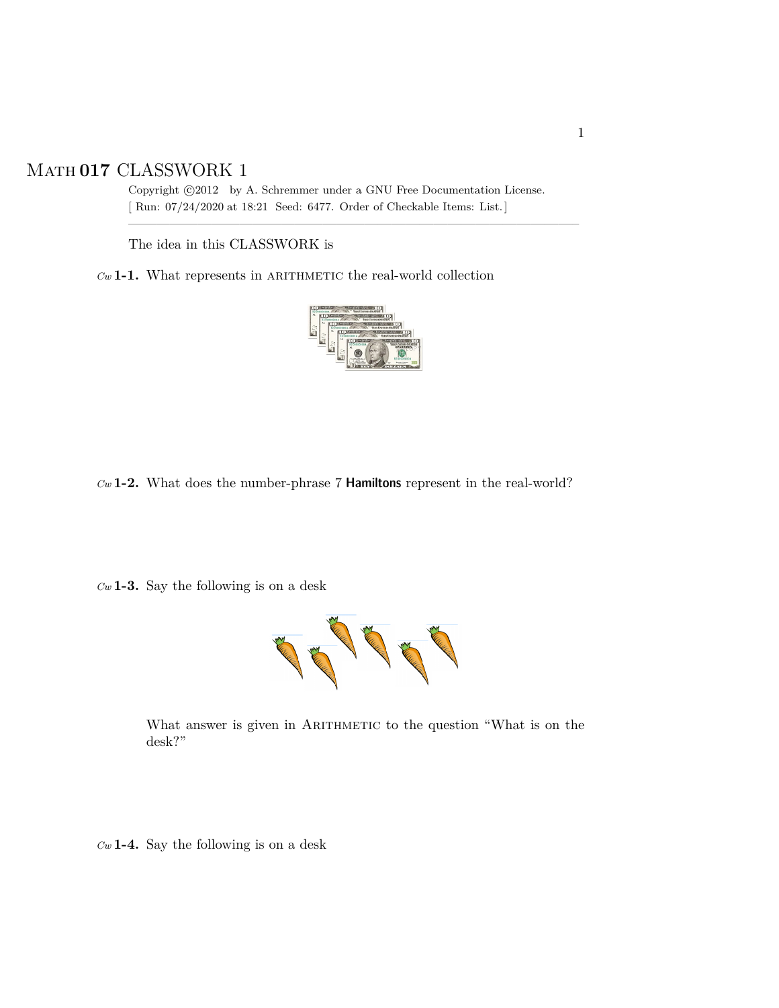## Math **017** CLASSWORK 1

Copyright  $\odot$ 2012 by A. Schremmer under a GNU Free Documentation License. [ Run: 07/24/2020 at 18:21 Seed: 6477. Order of Checkable Items: List.]

————————————————————————————————–

The idea in this CLASSWORK is

 $Cw$  **1-1.** What represents in ARITHMETIC the real-world collection



*Cw* **1-2.** What does the number-phrase 7 Hamiltons represent in the real-world?

*Cw* **1-3.** Say the following is on a desk



What answer is given in ARITHMETIC to the question "What is on the desk?"

*Cw* **1-4.** Say the following is on a desk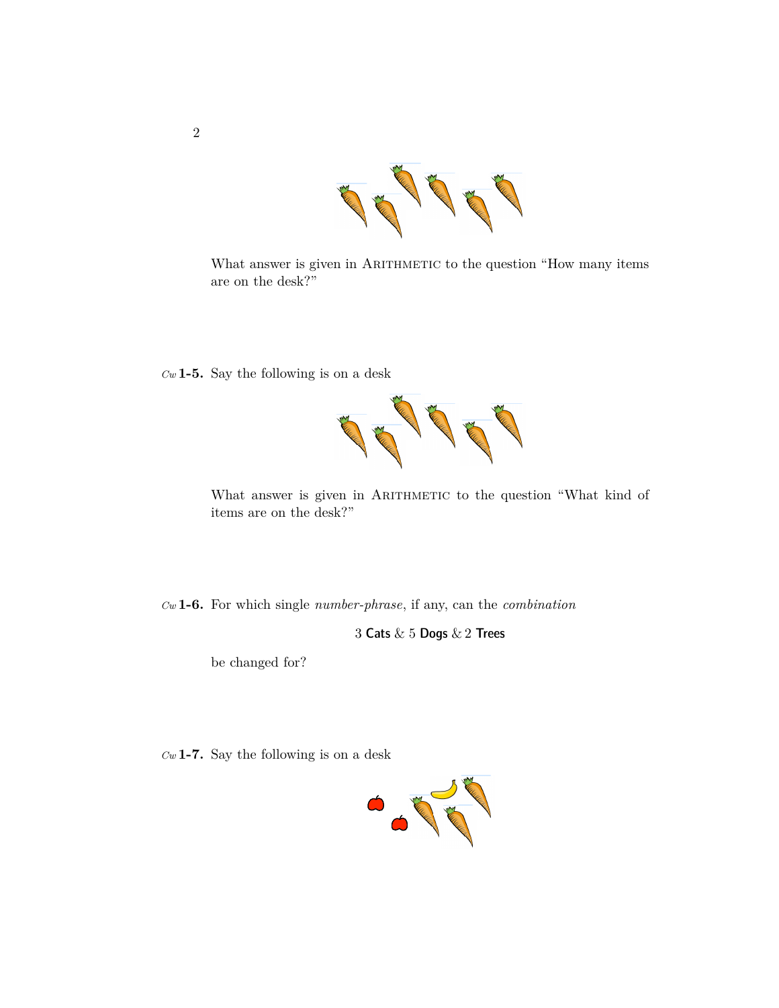

What answer is given in ARITHMETIC to the question "How many items are on the desk?"

*Cw* **1-5.** Say the following is on a desk



What answer is given in ARITHMETIC to the question "What kind of items are on the desk?"

*Cw* **1-6.** For which single *number-phrase*, if any, can the *combination*

3 Cats & 5 Dogs & 2 Trees

be changed for?

*Cw* **1-7.** Say the following is on a desk

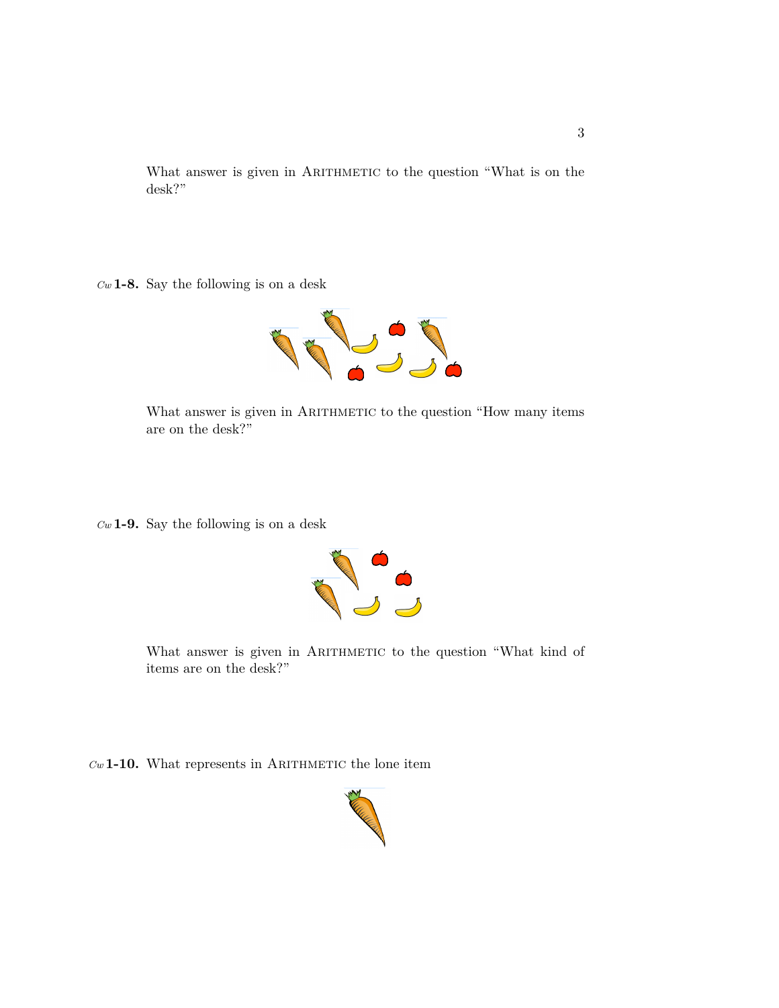What answer is given in ARITHMETIC to the question "What is on the desk?"

*Cw* **1-8.** Say the following is on a desk



What answer is given in ARITHMETIC to the question "How many items are on the desk?"

*Cw* **1-9.** Say the following is on a desk



What answer is given in ARITHMETIC to the question "What kind of items are on the desk?"

 $Cw$  **1-10.** What represents in ARITHMETIC the lone item